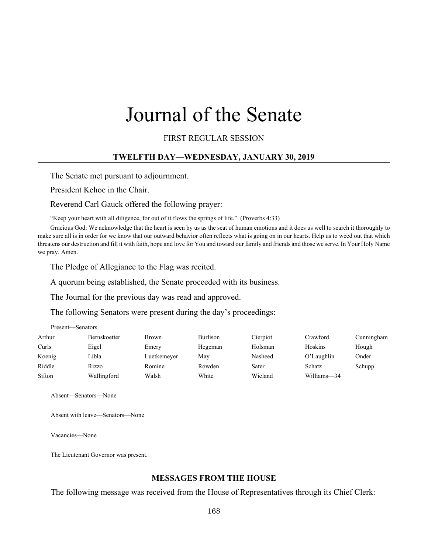# Journal of the Senate

FIRST REGULAR SESSION

## **TWELFTH DAY—WEDNESDAY, JANUARY 30, 2019**

The Senate met pursuant to adjournment.

President Kehoe in the Chair.

Reverend Carl Gauck offered the following prayer:

"Keep your heart with all diligence, for out of it flows the springs of life." (Proverbs 4:33)

Gracious God: We acknowledge that the heart is seen by us as the seat of human emotions and it does us well to search it thoroughly to make sure all is in order for we know that our outward behavior often reflects what is going on in our hearts. Help us to weed out that which threatens our destruction and fill it with faith, hope and love for You and toward our family and friends and those we serve. In Your Holy Name we pray. Amen.

The Pledge of Allegiance to the Flag was recited.

A quorum being established, the Senate proceeded with its business.

The Journal for the previous day was read and approved.

The following Senators were present during the day's proceedings:

| Present—Senators |                     |              |          |          |             |            |  |
|------------------|---------------------|--------------|----------|----------|-------------|------------|--|
| Arthur           | <b>Bernskoetter</b> | <b>Brown</b> | Burlison | Cierpiot | Crawford    | Cunningham |  |
| Curls            | Eigel               | Emery        | Hegeman  | Holsman  | Hoskins     | Hough      |  |
| Koenig           | Libla               | Luetkemeyer  | May      | Nasheed  | O'Laughlin  | Onder      |  |
| Riddle           | Rizzo               | Romine       | Rowden   | Sater    | Schatz      | Schupp     |  |
| Sifton           | Wallingford         | Walsh        | White    | Wieland  | Williams-34 |            |  |

Absent—Senators—None

Absent with leave—Senators—None

Vacancies—None

The Lieutenant Governor was present.

## **MESSAGES FROM THE HOUSE**

The following message was received from the House of Representatives through its Chief Clerk: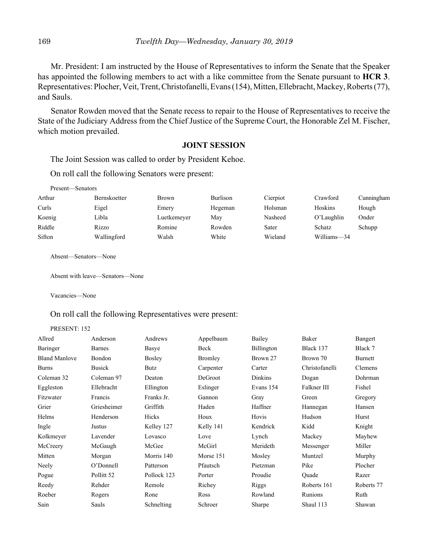Mr. President: I am instructed by the House of Representatives to inform the Senate that the Speaker has appointed the following members to act with a like committee from the Senate pursuant to **HCR 3**. Representatives: Plocher, Veit, Trent, Christofanelli, Evans (154), Mitten, Ellebracht, Mackey, Roberts (77), and Sauls.

Senator Rowden moved that the Senate recess to repair to the House of Representatives to receive the State of the Judiciary Address from the Chief Justice of the Supreme Court, the Honorable Zel M. Fischer, which motion prevailed.

## **JOINT SESSION**

The Joint Session was called to order by President Kehoe.

On roll call the following Senators were present:

| Present—Senators |                     |              |          |          |             |            |
|------------------|---------------------|--------------|----------|----------|-------------|------------|
| Arthur           | <b>Bernskoetter</b> | <b>Brown</b> | Burlison | Cierpiot | Crawford    | Cunningham |
| Curls            | Eigel               | Emery        | Hegeman  | Holsman  | Hoskins     | Hough      |
| Koenig           | Libla               | Luetkemeyer  | May      | Nasheed  | O'Laughlin  | Onder      |
| Riddle           | Rizzo               | Romine       | Rowden   | Sater    | Schatz      | Schupp     |
| Sifton           | Wallingford         | Walsh        | White    | Wieland  | Williams-34 |            |

Absent—Senators—None

Absent with leave—Senators—None

Vacancies—None

### On roll call the following Representatives were present:

PRESENT: 152

| Anderson              | Andrews       | Appelbaum   | Bailey         | Baker          | Bangert    |
|-----------------------|---------------|-------------|----------------|----------------|------------|
| Barnes                | Basye         | Beck        | Billington     | Black 137      | Black 7    |
| Bondon                | <b>Bosley</b> | Bromley     | Brown 27       | Brown 70       | Burnett    |
| <b>Busick</b>         | Butz          | Carpenter   | Carter         | Christofanelli | Clemens    |
| Coleman 97            | Deaton        | DeGroot     | <b>Dinkins</b> | Dogan          | Dohrman    |
| Ellebracht            | Ellington     | Eslinger    | Evans 154      | Falkner III    | Fishel     |
| Francis               | Franks Jr.    | Gannon      | Gray           | Green          | Gregory    |
| Griesheimer           | Griffith      | Haden       | Haffner        | Hannegan       | Hansen     |
| Henderson             | Hicks         | Houx        | Hovis          | Hudson         | Hurst      |
| Justus                | Kelley 127    | Kelly 141   | Kendrick       | Kidd           | Knight     |
| Lavender              | Lovasco       | Love        | Lynch          | Mackey         | Mayhew     |
| McGaugh               | McGee         | McGirl      | Merideth       | Messenger      | Miller     |
| Morgan                | Morris 140    | Morse 151   | Mosley         | Muntzel        | Murphy     |
| O'Donnell             | Patterson     | Pfautsch    | Pietzman       | Pike           | Plocher    |
| Pollitt <sub>52</sub> | Pollock 123   | Porter      | Proudie        | Ouade          | Razer      |
| Rehder                | Remole        | Richey      | Riggs          | Roberts 161    | Roberts 77 |
| Rogers                | Rone          | <b>Ross</b> | Rowland        | Runions        | Ruth       |
| Sauls                 | Schnelting    | Schroer     | Sharpe         | Shaul 113      | Shawan     |
|                       |               |             |                |                |            |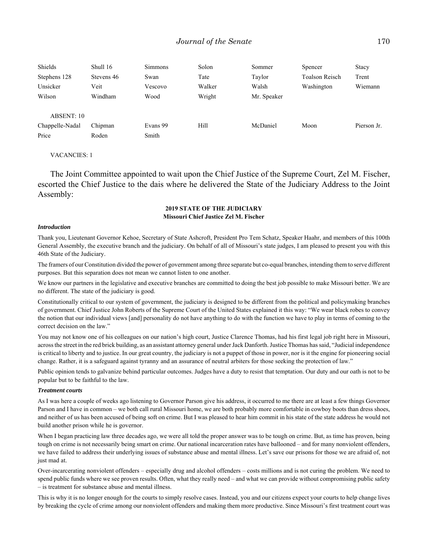| Shields         | Shull 16   | Simmons  | Solon  | Sommer      | Spencer               | Stacy       |
|-----------------|------------|----------|--------|-------------|-----------------------|-------------|
| Stephens 128    | Stevens 46 | Swan     | Tate   | Taylor      | <b>Toalson Reisch</b> | Trent       |
| Unsicker        | Veit       | Vescovo  | Walker | Walsh       | Washington            | Wiemann     |
| Wilson          | Windham    | Wood     | Wright | Mr. Speaker |                       |             |
|                 |            |          |        |             |                       |             |
| ABSENT: 10      |            |          |        |             |                       |             |
| Chappelle-Nadal | Chipman    | Evans 99 | Hill   | McDaniel    | Moon                  | Pierson Jr. |
| Price           | Roden      | Smith    |        |             |                       |             |

#### VACANCIES: 1

The Joint Committee appointed to wait upon the Chief Justice of the Supreme Court, Zel M. Fischer, escorted the Chief Justice to the dais where he delivered the State of the Judiciary Address to the Joint Assembly:

## **2019 STATE OF THE JUDICIARY Missouri Chief Justice Zel M. Fischer**

#### *Introduction*

Thank you, Lieutenant Governor Kehoe, Secretary of State Ashcroft, President Pro Tem Schatz, Speaker Haahr, and members of this 100th General Assembly, the executive branch and the judiciary. On behalf of all of Missouri's state judges, I am pleased to present you with this 46th State of the Judiciary.

The framers of our Constitution divided the power of government among three separate but co-equal branches, intending them to serve different purposes. But this separation does not mean we cannot listen to one another.

We know our partners in the legislative and executive branches are committed to doing the best job possible to make Missouri better. We are no different. The state of the judiciary is good.

Constitutionally critical to our system of government, the judiciary is designed to be different from the political and policymaking branches of government. Chief Justice John Roberts of the Supreme Court of the United States explained it this way: "We wear black robes to convey the notion that our individual views [and] personality do not have anything to do with the function we have to play in terms of coming to the correct decision on the law."

You may not know one of his colleagues on our nation's high court, Justice Clarence Thomas, had his first legal job right here in Missouri, across the street in the red brick building, as an assistant attorney general under Jack Danforth. Justice Thomas has said, "Judicial independence is critical to liberty and to justice. In our great country, the judiciary is not a puppet of those in power, nor is it the engine for pioneering social change. Rather, it is a safeguard against tyranny and an assurance of neutral arbiters for those seeking the protection of law."

Public opinion tends to galvanize behind particular outcomes. Judges have a duty to resist that temptation. Our duty and our oath is not to be popular but to be faithful to the law.

#### *Treatment courts*

As I was here a couple of weeks ago listening to Governor Parson give his address, it occurred to me there are at least a few things Governor Parson and I have in common – we both call rural Missouri home, we are both probably more comfortable in cowboy boots than dress shoes, and neither of us has been accused of being soft on crime. But I was pleased to hear him commit in his state of the state address he would not build another prison while he is governor.

When I began practicing law three decades ago, we were all told the proper answer was to be tough on crime. But, as time has proven, being tough on crime is not necessarily being smart on crime. Our national incarceration rates have ballooned – and for many nonviolent offenders, we have failed to address their underlying issues of substance abuse and mental illness. Let's save our prisons for those we are afraid of, not just mad at.

Over-incarcerating nonviolent offenders – especially drug and alcohol offenders – costs millions and is not curing the problem. We need to spend public funds where we see proven results. Often, what they really need – and what we can provide without compromising public safety – is treatment for substance abuse and mental illness.

This is why it is no longer enough for the courts to simply resolve cases. Instead, you and our citizens expect your courts to help change lives by breaking the cycle of crime among our nonviolent offenders and making them more productive. Since Missouri's first treatment court was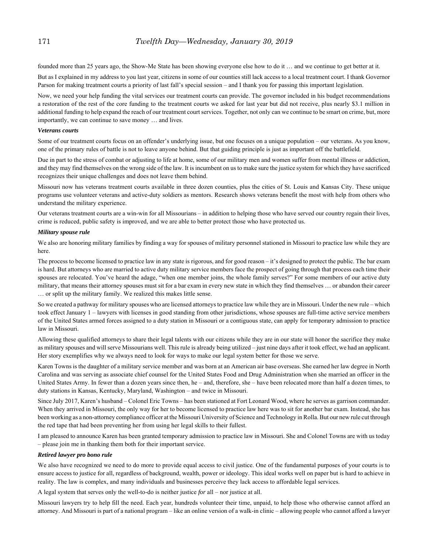founded more than 25 years ago, the Show-Me State has been showing everyone else how to do it … and we continue to get better at it.

But as I explained in my address to you last year, citizens in some of our counties still lack access to a local treatment court. I thank Governor Parson for making treatment courts a priority of last fall's special session – and I thank you for passing this important legislation.

Now, we need your help funding the vital services our treatment courts can provide. The governor included in his budget recommendations a restoration of the rest of the core funding to the treatment courts we asked for last year but did not receive, plus nearly \$3.1 million in additional funding to help expand the reach of our treatment court services. Together, not only can we continue to be smart on crime, but, more importantly, we can continue to save money … and lives.

#### *Veterans courts*

Some of our treatment courts focus on an offender's underlying issue, but one focuses on a unique population – our veterans. As you know, one of the primary rules of battle is not to leave anyone behind. But that guiding principle is just as important off the battlefield.

Due in part to the stress of combat or adjusting to life at home, some of our military men and women suffer from mental illness or addiction, and they may find themselves on the wrong side of the law. It is incumbent on us to make sure the justice system for which they have sacrificed recognizes their unique challenges and does not leave them behind.

Missouri now has veterans treatment courts available in three dozen counties, plus the cities of St. Louis and Kansas City. These unique programs use volunteer veterans and active-duty soldiers as mentors. Research shows veterans benefit the most with help from others who understand the military experience.

Our veterans treatment courts are a win-win for all Missourians – in addition to helping those who have served our country regain their lives, crime is reduced, public safety is improved, and we are able to better protect those who have protected us.

#### *Military spouse rule*

We also are honoring military families by finding a way for spouses of military personnel stationed in Missouri to practice law while they are here.

The process to become licensed to practice law in any state is rigorous, and for good reason – it's designed to protect the public. The bar exam is hard. But attorneys who are married to active duty military service members face the prospect of going through that process each time their spouses are relocated. You've heard the adage, "when one member joins, the whole family serves?" For some members of our active duty military, that means their attorney spouses must sit for a bar exam in every new state in which they find themselves … or abandon their career … or split up the military family. We realized this makes little sense.

So we created a pathway for military spouses who are licensed attorneys to practice law while they are in Missouri. Under the new rule – which took effect January 1 – lawyers with licenses in good standing from other jurisdictions, whose spouses are full-time active service members of the United States armed forces assigned to a duty station in Missouri or a contiguous state, can apply for temporary admission to practice law in Missouri.

Allowing these qualified attorneys to share their legal talents with our citizens while they are in our state will honor the sacrifice they make as military spouses and will serve Missourians well. This rule is already being utilized – just nine days after it took effect, we had an applicant. Her story exemplifies why we always need to look for ways to make our legal system better for those we serve.

Karen Towns is the daughter of a military service member and was born at an American air base overseas. She earned her law degree in North Carolina and was serving as associate chief counsel for the United States Food and Drug Administration when she married an officer in the United States Army. In fewer than a dozen years since then, he – and, therefore, she – have been relocated more than half a dozen times, to duty stations in Kansas, Kentucky, Maryland, Washington – and twice in Missouri.

Since July 2017, Karen's husband – Colonel Eric Towns – has been stationed at Fort Leonard Wood, where he serves as garrison commander. When they arrived in Missouri, the only way for her to become licensed to practice law here was to sit for another bar exam. Instead, she has been working as a non-attorney compliance officer at the Missouri University of Science and Technology in Rolla. But our new rule cut through the red tape that had been preventing her from using her legal skills to their fullest.

I am pleased to announce Karen has been granted temporary admission to practice law in Missouri. She and Colonel Towns are with us today – please join me in thanking them both for their important service.

#### *Retired lawyer pro bono rule*

We also have recognized we need to do more to provide equal access to civil justice. One of the fundamental purposes of your courts is to ensure access to justice for all, regardless of background, wealth, power or ideology. This ideal works well on paper but is hard to achieve in reality. The law is complex, and many individuals and businesses perceive they lack access to affordable legal services.

A legal system that serves only the well-to-do is neither justice *for* all – nor justice at all.

Missouri lawyers try to help fill the need. Each year, hundreds volunteer their time, unpaid, to help those who otherwise cannot afford an attorney. And Missouri is part of a national program – like an online version of a walk-in clinic – allowing people who cannot afford a lawyer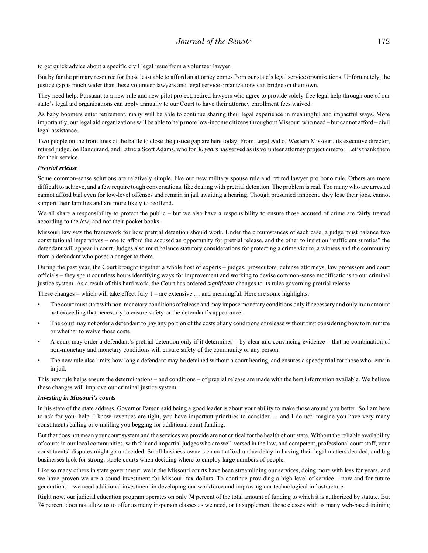to get quick advice about a specific civil legal issue from a volunteer lawyer.

But by far the primary resource for those least able to afford an attorney comes from our state's legal service organizations. Unfortunately, the justice gap is much wider than these volunteer lawyers and legal service organizations can bridge on their own.

They need help. Pursuant to a new rule and new pilot project, retired lawyers who agree to provide solely free legal help through one of our state's legal aid organizations can apply annually to our Court to have their attorney enrollment fees waived.

As baby boomers enter retirement, many will be able to continue sharing their legal experience in meaningful and impactful ways. More importantly, our legal aid organizations will be able to help more low-income citizens throughout Missouri who need – but cannot afford – civil legal assistance.

Two people on the front lines of the battle to close the justice gap are here today. From Legal Aid of Western Missouri, its executive director, retired judge Joe Dandurand, and Latricia Scott Adams, who for *30 years* has served as its volunteer attorney project director. Let's thank them for their service.

#### *Pretrial release*

Some common-sense solutions are relatively simple, like our new military spouse rule and retired lawyer pro bono rule. Others are more difficult to achieve, and a few require tough conversations, like dealing with pretrial detention. The problem is real. Too many who are arrested cannot afford bail even for low-level offenses and remain in jail awaiting a hearing. Though presumed innocent, they lose their jobs, cannot support their families and are more likely to reoffend.

We all share a responsibility to protect the public – but we also have a responsibility to ensure those accused of crime are fairly treated according to the *law*, and not their pocket books.

Missouri law sets the framework for how pretrial detention should work. Under the circumstances of each case, a judge must balance two constitutional imperatives – one to afford the accused an opportunity for pretrial release, and the other to insist on "sufficient sureties" the defendant will appear in court. Judges also must balance statutory considerations for protecting a crime victim, a witness and the community from a defendant who poses a danger to them.

During the past year, the Court brought together a whole host of experts – judges, prosecutors, defense attorneys, law professors and court officials – they spent countless hours identifying ways for improvement and working to devise common-sense modifications to our criminal justice system. As a result of this hard work, the Court has ordered *significant* changes to its rules governing pretrial release.

These changes – which will take effect July  $1$  – are extensive ... and meaningful. Here are some highlights:

- The court must start with non-monetary conditions of release and may impose monetary conditions only if necessary and only in an amount not exceeding that necessary to ensure safety or the defendant's appearance.
- The court may not order a defendant to pay any portion of the costs of any conditions of release without first considering how to minimize or whether to waive those costs.
- A court may order a defendant's pretrial detention only if it determines by clear and convincing evidence that no combination of non-monetary and monetary conditions will ensure safety of the community or any person.
- The new rule also limits how long a defendant may be detained without a court hearing, and ensures a speedy trial for those who remain in jail.

This new rule helps ensure the determinations – and conditions – of pretrial release are made with the best information available. We believe these changes will improve our criminal justice system.

#### *Investing in Missouri's courts*

In his state of the state address, Governor Parson said being a good leader is about your ability to make those around you better. So I am here to ask for your help. I know revenues are tight, you have important priorities to consider … and I do not imagine you have very many constituents calling or e-mailing you begging for additional court funding.

But that does not mean your court system and the services we provide are not critical for the health of our state. Without the reliable availability of courts in our local communities, with fair and impartial judges who are well-versed in the law, and competent, professional court staff, your constituents' disputes might go undecided. Small business owners cannot afford undue delay in having their legal matters decided, and big businesses look for strong, stable courts when deciding where to employ large numbers of people.

Like so many others in state government, we in the Missouri courts have been streamlining our services, doing more with less for years, and we have proven we are a sound investment for Missouri tax dollars. To continue providing a high level of service – now and for future generations – we need additional investment in developing our workforce and improving our technological infrastructure.

Right now, our judicial education program operates on only 74 percent of the total amount of funding to which it is authorized by statute. But 74 percent does not allow us to offer as many in-person classes as we need, or to supplement those classes with as many web-based training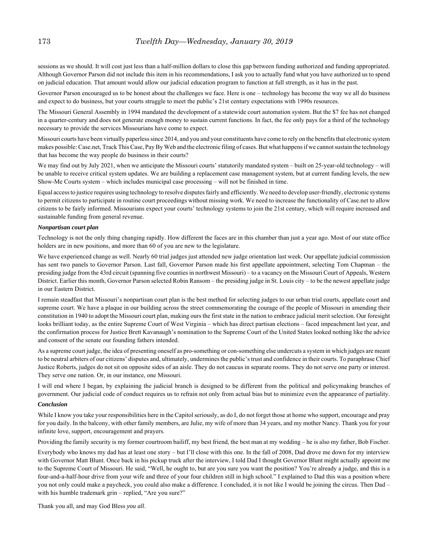sessions as we should. It will cost just less than a half-million dollars to close this gap between funding authorized and funding appropriated. Although Governor Parson did not include this item in his recommendations, I ask you to actually fund what you have authorized us to spend on judicial education. That amount would allow our judicial education program to function at full strength, as it has in the past.

Governor Parson encouraged us to be honest about the challenges we face. Here is one – technology has become the way we all do business and expect to do business, but your courts struggle to meet the public's 21st century expectations with 1990s resources.

The Missouri General Assembly in 1994 mandated the development of a statewide court automation system. But the \$7 fee has not changed in a quarter-century and does not generate enough money to sustain current functions. In fact, the fee only pays for a third of the technology necessary to provide the services Missourians have come to expect.

Missouri courts have been virtually paperless since 2014, and you and your constituents have come to rely on the benefits that electronic system makes possible: Case.net, Track This Case, Pay By Web and the electronic filing of cases. But what happens if we cannot sustain the technology that has become the way people do business in their courts?

We may find out by July 2021, when we anticipate the Missouri courts' statutorily mandated system – built on 25-year-old technology – will be unable to receive critical system updates. We are building a replacement case management system, but at current funding levels, the new Show-Me Courts system – which includes municipal case processing – will not be finished in time.

Equal access to justice requires using technology to resolve disputes fairly and efficiently. We need to develop user-friendly, electronic systems to permit citizens to participate in routine court proceedings without missing work. We need to increase the functionality of Case.net to allow citizens to be fairly informed. Missourians expect your courts' technology systems to join the 21st century, which will require increased and sustainable funding from general revenue.

#### *Nonpartisan court plan*

Technology is not the only thing changing rapidly. How different the faces are in this chamber than just a year ago. Most of our state office holders are in new positions, and more than 60 of you are new to the legislature.

We have experienced change as well. Nearly 60 trial judges just attended new judge orientation last week. Our appellate judicial commission has sent two panels to Governor Parson. Last fall, Governor Parson made his first appellate appointment, selecting Tom Chapman – the presiding judge from the 43rd circuit (spanning five counties in northwest Missouri) – to a vacancy on the Missouri Court of Appeals, Western District. Earlier this month, Governor Parson selected Robin Ransom – the presiding judge in St. Louis city – to be the newest appellate judge in our Eastern District.

I remain steadfast that Missouri's nonpartisan court plan is the best method for selecting judges to our urban trial courts, appellate court and supreme court. We have a plaque in our building across the street commemorating the courage of the people of Missouri in amending their constitution in 1940 to adopt the Missouri court plan, making ours the first state in the nation to embrace judicial merit selection. Our foresight looks brilliant today, as the entire Supreme Court of West Virginia – which has direct partisan elections – faced impeachment last year, and the confirmation process for Justice Brett Kavanaugh's nomination to the Supreme Court of the United States looked nothing like the advice and consent of the senate our founding fathers intended.

As a supreme court judge, the idea of presenting oneself as pro-something or con-something else undercuts a system in which judges are meant to be neutral arbiters of our citizens' disputes and, ultimately, undermines the public's trust and confidence in their courts. To paraphrase Chief Justice Roberts, judges do not sit on opposite sides of an aisle. They do not caucus in separate rooms. They do not serve one party or interest. They serve one nation. Or, in our instance, one Missouri.

I will end where I began, by explaining the judicial branch is designed to be different from the political and policymaking branches of government. Our judicial code of conduct requires us to refrain not only from actual bias but to minimize even the appearance of partiality.

## *Conclusion*

While I know you take your responsibilities here in the Capitol seriously, as do I, do not forget those at home who support, encourage and pray for you daily. In the balcony, with other family members, are Julie, my wife of more than 34 years, and my mother Nancy. Thank you for your infinite love, support, encouragement and prayers.

Providing the family security is my former courtroom bailiff, my best friend, the best man at my wedding – he is also my father, Bob Fischer.

Everybody who knows my dad has at least one story – but I'll close with this one. In the fall of 2008, Dad drove me down for my interview with Governor Matt Blunt. Once back in his pickup truck after the interview, I told Dad I thought Governor Blunt might actually appoint me to the Supreme Court of Missouri. He said, "Well, he ought to, but are you sure you want the position? You're already a judge, and this is a four-and-a-half-hour drive from your wife and three of your four children still in high school." I explained to Dad this was a position where you not only could make a paycheck, you could also make a difference. I concluded, it is not like I would be joining the circus. Then Dad – with his humble trademark grin – replied, "Are you sure?"

Thank you all, and may God Bless *you all*.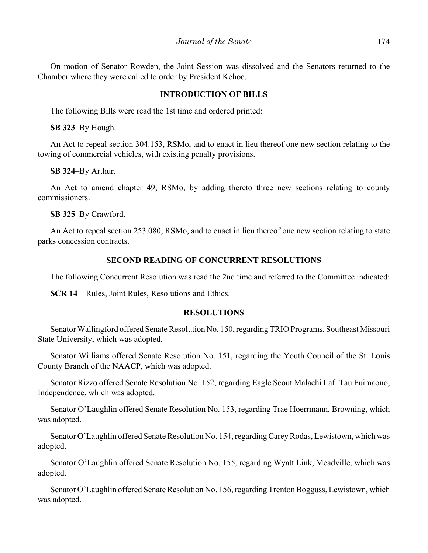On motion of Senator Rowden, the Joint Session was dissolved and the Senators returned to the Chamber where they were called to order by President Kehoe.

# **INTRODUCTION OF BILLS**

The following Bills were read the 1st time and ordered printed:

**SB 323**–By Hough.

An Act to repeal section 304.153, RSMo, and to enact in lieu thereof one new section relating to the towing of commercial vehicles, with existing penalty provisions.

**SB 324**–By Arthur.

An Act to amend chapter 49, RSMo, by adding thereto three new sections relating to county commissioners.

**SB 325**–By Crawford.

An Act to repeal section 253.080, RSMo, and to enact in lieu thereof one new section relating to state parks concession contracts.

# **SECOND READING OF CONCURRENT RESOLUTIONS**

The following Concurrent Resolution was read the 2nd time and referred to the Committee indicated:

**SCR 14**—Rules, Joint Rules, Resolutions and Ethics.

# **RESOLUTIONS**

Senator Wallingford offered Senate Resolution No. 150, regarding TRIO Programs, Southeast Missouri State University, which was adopted.

Senator Williams offered Senate Resolution No. 151, regarding the Youth Council of the St. Louis County Branch of the NAACP, which was adopted.

Senator Rizzo offered Senate Resolution No. 152, regarding Eagle Scout Malachi Lafi Tau Fuimaono, Independence, which was adopted.

Senator O'Laughlin offered Senate Resolution No. 153, regarding Trae Hoerrmann, Browning, which was adopted.

Senator O'Laughlin offered Senate Resolution No. 154, regarding Carey Rodas, Lewistown, which was adopted.

Senator O'Laughlin offered Senate Resolution No. 155, regarding Wyatt Link, Meadville, which was adopted.

Senator O'Laughlin offered Senate Resolution No. 156, regarding Trenton Bogguss, Lewistown, which was adopted.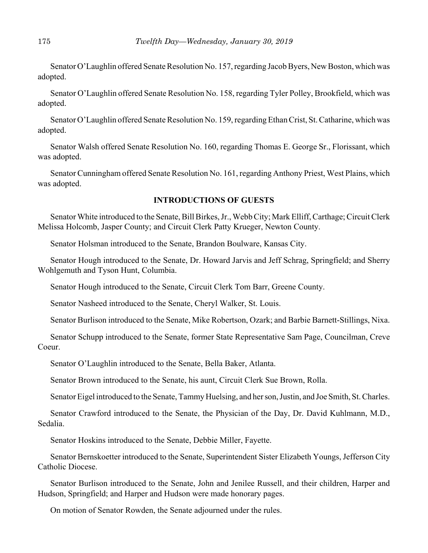Senator O'Laughlin offered Senate Resolution No. 157, regarding Jacob Byers, New Boston, which was adopted.

Senator O'Laughlin offered Senate Resolution No. 158, regarding Tyler Polley, Brookfield, which was adopted.

Senator O'Laughlin offered Senate Resolution No. 159, regarding Ethan Crist, St. Catharine, which was adopted.

Senator Walsh offered Senate Resolution No. 160, regarding Thomas E. George Sr., Florissant, which was adopted.

Senator Cunningham offered Senate Resolution No. 161, regarding Anthony Priest, West Plains, which was adopted.

# **INTRODUCTIONS OF GUESTS**

Senator White introduced to the Senate, Bill Birkes, Jr., Webb City; Mark Elliff, Carthage; Circuit Clerk Melissa Holcomb, Jasper County; and Circuit Clerk Patty Krueger, Newton County.

Senator Holsman introduced to the Senate, Brandon Boulware, Kansas City.

Senator Hough introduced to the Senate, Dr. Howard Jarvis and Jeff Schrag, Springfield; and Sherry Wohlgemuth and Tyson Hunt, Columbia.

Senator Hough introduced to the Senate, Circuit Clerk Tom Barr, Greene County.

Senator Nasheed introduced to the Senate, Cheryl Walker, St. Louis.

Senator Burlison introduced to the Senate, Mike Robertson, Ozark; and Barbie Barnett-Stillings, Nixa.

Senator Schupp introduced to the Senate, former State Representative Sam Page, Councilman, Creve Coeur.

Senator O'Laughlin introduced to the Senate, Bella Baker, Atlanta.

Senator Brown introduced to the Senate, his aunt, Circuit Clerk Sue Brown, Rolla.

Senator Eigel introduced to the Senate, Tammy Huelsing, and her son, Justin, and Joe Smith, St. Charles.

Senator Crawford introduced to the Senate, the Physician of the Day, Dr. David Kuhlmann, M.D., Sedalia.

Senator Hoskins introduced to the Senate, Debbie Miller, Fayette.

Senator Bernskoetter introduced to the Senate, Superintendent Sister Elizabeth Youngs, Jefferson City Catholic Diocese.

Senator Burlison introduced to the Senate, John and Jenilee Russell, and their children, Harper and Hudson, Springfield; and Harper and Hudson were made honorary pages.

On motion of Senator Rowden, the Senate adjourned under the rules.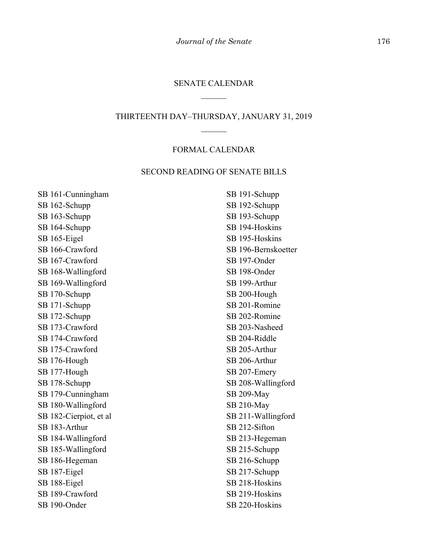## SENATE CALENDAR

# THIRTEENTH DAY–THURSDAY, JANUARY 31, 2019

# FORMAL CALENDAR

## SECOND READING OF SENATE BILLS

SB 161-Cunningham SB 162-Schupp SB 163-Schupp SB 164-Schupp SB 165-Eigel SB 166-Crawford SB 167-Crawford SB 168-Wallingford SB 169-Wallingford SB 170-Schupp SB 171-Schupp SB 172-Schupp SB 173-Crawford SB 174-Crawford SB 175-Crawford SB 176-Hough SB 177-Hough SB 178-Schupp SB 179-Cunningham SB 180-Wallingford SB 182-Cierpiot, et al SB 183-Arthur SB 184-Wallingford SB 185-Wallingford SB 186-Hegeman SB 187-Eigel SB 188-Eigel SB 189-Crawford SB 190-Onder

SB 191-Schupp SB 192-Schupp SB 193-Schupp SB 194-Hoskins SB 195-Hoskins SB 196-Bernskoetter SB 197-Onder SB 198-Onder SB 199-Arthur SB 200-Hough SB 201-Romine SB 202-Romine SB 203-Nasheed SB 204-Riddle SB 205-Arthur SB 206-Arthur SB 207-Emery SB 208-Wallingford SB 209-May SB 210-May SB 211-Wallingford SB 212-Sifton SB 213-Hegeman SB 215-Schupp SB 216-Schupp SB 217-Schupp SB 218-Hoskins SB 219-Hoskins SB 220-Hoskins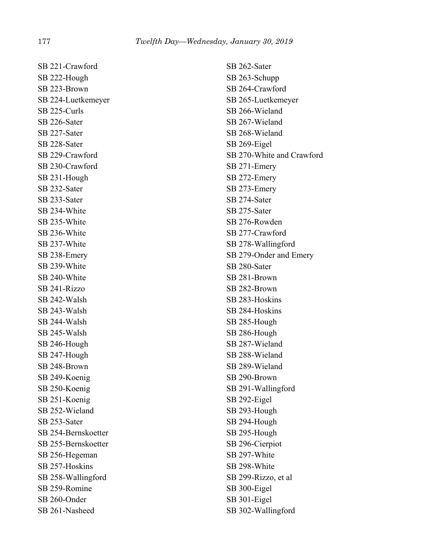SB 221-Crawford SB 222-Hough SB 223-Brown SB 224-Luetkemeyer SB 225-Curls SB 226-Sater SB 227-Sater SB 228-Sater SB 229-Crawford SB 230-Crawford SB 231-Hough SB 232-Sater SB 233-Sater SB 234-White SB 235-White SB 236-White SB 237-White SB 238-Emery SB 239-White SB 240-White SB 241-Rizzo SB 242-Walsh SB 243-Walsh SB 244-Walsh SB 245-Walsh SB 246-Hough SB 247-Hough SB 248-Brown SB 249-Koenig SB 250-Koenig SB 251-Koenig SB 252-Wieland SB 253-Sater SB 254-Bernskoetter SB 255-Bernskoetter SB 256-Hegeman SB 257-Hoskins SB 258-Wallingford SB 259-Romine SB 260-Onder SB 261-Nasheed

SB 262-Sater SB 263-Schupp SB 264-Crawford SB 265-Luetkemeyer SB 266-Wieland SB 267-Wieland SB 268-Wieland SB 269-Eigel SB 270-White and Crawford SB 271-Emery SB 272-Emery SB 273-Emery SB 274-Sater SB 275-Sater SB 276-Rowden SB 277-Crawford SB 278-Wallingford SB 279-Onder and Emery SB 280-Sater SB 281-Brown SB 282-Brown SB 283-Hoskins SB 284-Hoskins SB 285-Hough SB 286-Hough SB 287-Wieland SB 288-Wieland SB 289-Wieland SB 290-Brown SB 291-Wallingford SB 292-Eigel SB 293-Hough SB 294-Hough SB 295-Hough SB 296-Cierpiot SB 297-White SB 298-White SB 299-Rizzo, et al SB 300-Eigel SB 301-Eigel SB 302-Wallingford